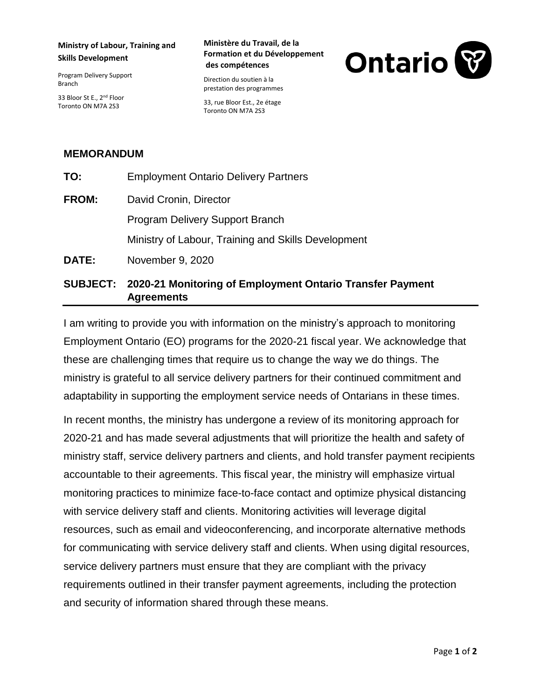## **Ministry of Labour, Training and Skills Development**

Program Delivery Support Branch

33 Bloor St E., 2<sup>nd</sup> Floor Toronto ON M7A 2S3

### **Ministère du Travail, de la Formation et du Développement des compétences**

Direction du soutien à la prestation des programmes

33, rue Bloor Est., 2e étage Toronto ON M7A 2S3



# **MEMORANDUM**

| TO:          | <b>Employment Ontario Delivery Partners</b>         |
|--------------|-----------------------------------------------------|
| <b>FROM:</b> | David Cronin, Director                              |
|              | <b>Program Delivery Support Branch</b>              |
|              | Ministry of Labour, Training and Skills Development |
| <b>DATE:</b> | November 9, 2020                                    |
|              |                                                     |

# **SUBJECT: 2020-21 Monitoring of Employment Ontario Transfer Payment Agreements**

I am writing to provide you with information on the ministry's approach to monitoring Employment Ontario (EO) programs for the 2020-21 fiscal year. We acknowledge that these are challenging times that require us to change the way we do things. The ministry is grateful to all service delivery partners for their continued commitment and adaptability in supporting the employment service needs of Ontarians in these times.

In recent months, the ministry has undergone a review of its monitoring approach for 2020-21 and has made several adjustments that will prioritize the health and safety of ministry staff, service delivery partners and clients, and hold transfer payment recipients accountable to their agreements. This fiscal year, the ministry will emphasize virtual monitoring practices to minimize face-to-face contact and optimize physical distancing with service delivery staff and clients. Monitoring activities will leverage digital resources, such as email and videoconferencing, and incorporate alternative methods for communicating with service delivery staff and clients. When using digital resources, service delivery partners must ensure that they are compliant with the privacy requirements outlined in their transfer payment agreements, including the protection and security of information shared through these means.